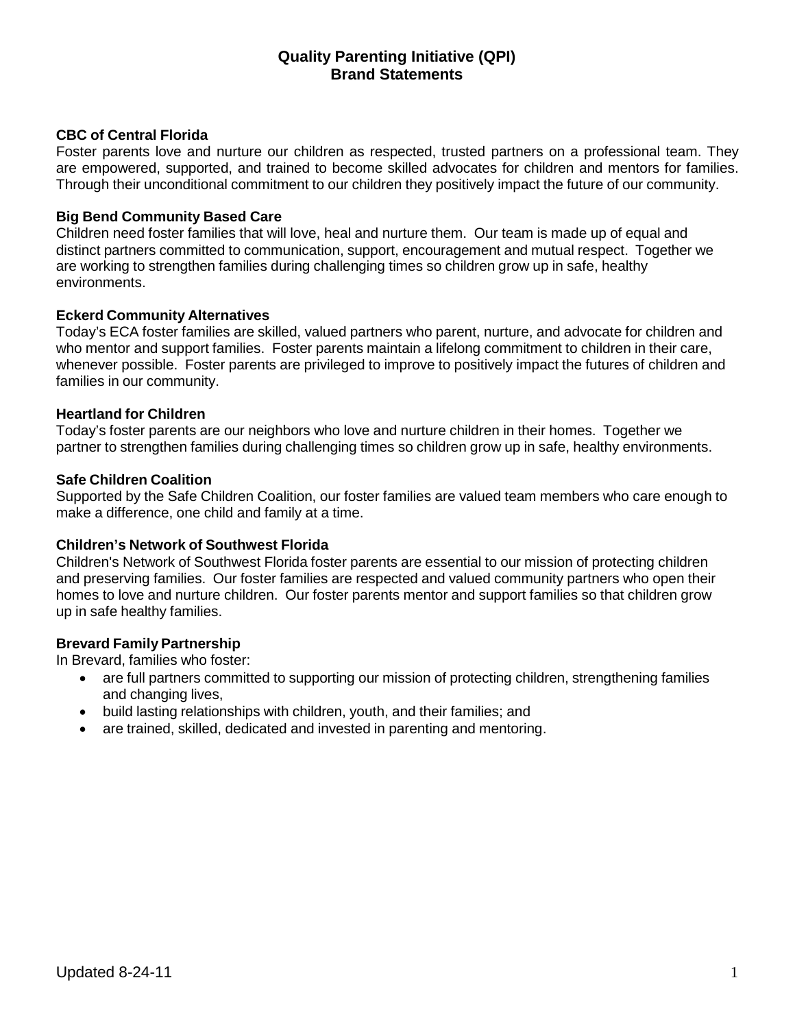# **Quality Parenting Initiative (QPI) Brand Statements**

### **CBC of Central Florida**

Foster parents love and nurture our children as respected, trusted partners on a professional team. They are empowered, supported, and trained to become skilled advocates for children and mentors for families. Through their unconditional commitment to our children they positively impact the future of our community.

### **Big Bend Community Based Care**

Children need foster families that will love, heal and nurture them. Our team is made up of equal and distinct partners committed to communication, support, encouragement and mutual respect. Together we are working to strengthen families during challenging times so children grow up in safe, healthy environments.

### **Eckerd Community Alternatives**

Today's ECA foster families are skilled, valued partners who parent, nurture, and advocate for children and who mentor and support families. Foster parents maintain a lifelong commitment to children in their care, whenever possible. Foster parents are privileged to improve to positively impact the futures of children and families in our community.

### **Heartland for Children**

Today's foster parents are our neighbors who love and nurture children in their homes. Together we partner to strengthen families during challenging times so children grow up in safe, healthy environments.

### **Safe Children Coalition**

Supported by the Safe Children Coalition, our foster families are valued team members who care enough to make a difference, one child and family at a time.

### **Children's Network of Southwest Florida**

Children's Network of Southwest Florida foster parents are essential to our mission of protecting children and preserving families. Our foster families are respected and valued community partners who open their homes to love and nurture children. Our foster parents mentor and support families so that children grow up in safe healthy families.

### **Brevard Family Partnership**

In Brevard, families who foster:

- are full partners committed to supporting our mission of protecting children, strengthening families and changing lives,
- build lasting relationships with children, youth, and their families; and
- are trained, skilled, dedicated and invested in parenting and mentoring.